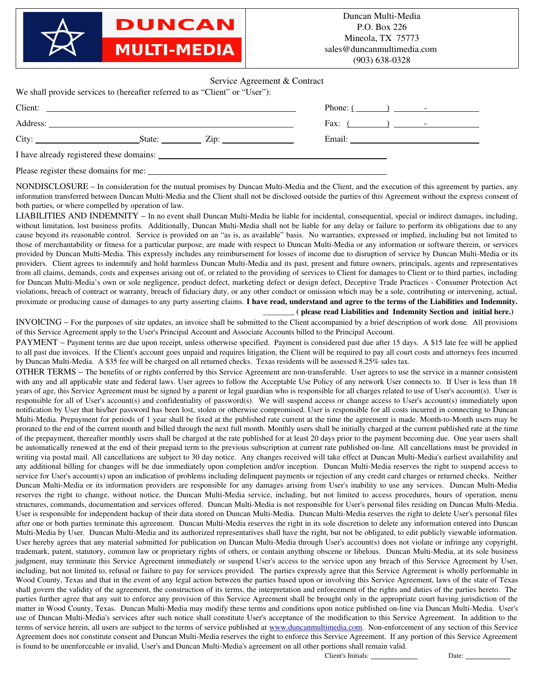**DUNCAN MULTI-MEDIA** 

## Service Agreement & Contract

|  | We shall provide services to (hereafter referred to as "Client" or "User"): |                                          |                 |
|--|-----------------------------------------------------------------------------|------------------------------------------|-----------------|
|  | Client:                                                                     |                                          | Phone: $(\_\_)$ |
|  |                                                                             |                                          |                 |
|  | City: $\_\_\_\_\_\_\_$ State: $\_\_\_\_\_\_$ Zip: $\_\_\_\_\_\_\_\_$        |                                          |                 |
|  |                                                                             | I have already registered these domains: |                 |
|  |                                                                             |                                          |                 |

NONDISCLOSURE – In consideration for the mutual promises by Duncan Multi-Media and the Client, and the execution of this agreement by parties, any information transferred between Duncan Multi-Media and the Client shall not be disclosed outside the parties of this Agreement without the express consent of both parties, or where compelled by operation of law.

LIABILITIES AND INDEMNITY – In no event shall Duncan Multi-Media be liable for incidental, consequential, special or indirect damages, including, without limitation, lost business profits. Additionally, Duncan Multi-Media shall not be liable for any delay or failure to perform its obligations due to any cause beyond its reasonable control. Service is provided on an "as is, as available" basis. No warranties, expressed or implied, including but not limited to those of merchantability or fitness for a particular purpose, are made with respect to Duncan Multi-Media or any information or software therein, or services provided by Duncan Multi-Media. This expressly includes any reimbursement for losses of income due to disruption of service by Duncan Multi-Media or its providers. Client agrees to indemnify and hold harmless Duncan Multi-Media and its past, present and future owners, principals, agents and representatives from all claims, demands, costs and expenses arising out of, or related to the providing of services to Client for damages to Client or to third parties, including for Duncan Multi-Media's own or sole negligence, product defect, marketing defect or design defect, Deceptive Trade Practices - Consumer Protection Act violations, breach of contract or warranty, breach of fiduciary duty, or any other conduct or omission which may be a sole, contributing or intervening, actual, proximate or producing cause of damages to any party asserting claims. I have read, understand and agree to the terms of the Liabilities and Indemnity. \_\_\_\_\_\_\_\_ ( please read Liabilities and Indemnity Section and initial here.)

INVOICING – For the purposes of site updates, an invoice shall be submitted to the Client accompanied by a brief description of work done. All provisions of this Service Agreement apply to the User's Principal Account and Associate Accounts billed to the Principal Account.

PAYMENT – Payment terms are due upon receipt, unless otherwise specified. Payment is considered past due after 15 days. A \$15 late fee will be applied to all past due invoices. If the Client's account goes unpaid and requires litigation, the Client will be required to pay all court costs and attorneys fees incurred by Duncan Multi-Media. A \$35 fee will be charged on all returned checks. Texas residents will be assessed 8.25% sales tax.

OTHER TERMS – The benefits of or rights conferred by this Service Agreement are nontransferable. User agrees to use the service in a manner consistent with any and all applicable state and federal laws. User agrees to follow the Acceptable Use Policy of any network User connects to. If User is less than 18 years of age, this Service Agreement must be signed by a parent or legal guardian who is responsible for all charges related to use of User's account(s). User is responsible for all of User's account(s) and confidentiality of password(s). We will suspend access or change access to User's account(s) immediately upon notification by User that his/her password has been lost, stolen or otherwise compromised. User is responsible for all costs incurred in connecting to Duncan Multi-Media. Prepayment for periods of 1 year shall be fixed at the published rate current at the time the agreement is made. Month-to-Month users may be prorated to the end of the current month and billed through the next full month. Monthly users shall be initially charged at the current published rate at the time of the prepayment, thereafter monthly users shall be charged at the rate published for at least 20 days prior to the payment becoming due. One year users shall be automatically renewed at the end of their prepaid term to the previous subscription at current rate published on-line. All cancellations must be provided in writing via postal mail. All cancellations are subject to 30 day notice. Any changes received will take effect at Duncan Multi-Media's earliest availability and any additional billing for changes will be due immediately upon completion and/or inception. Duncan Multi-Media reserves the right to suspend access to service for User's account(s) upon an indication of problems including delinquent payments or rejection of any credit card charges or returned checks. Neither Duncan Multi-Media or its information providers are responsible for any damages arising from User's inability to use any services. Duncan Multi-Media reserves the right to change, without notice, the Duncan Multi-Media service, including, but not limited to access procedures, hours of operation, menu structures, commands, documentation and services offered. Duncan Multi-Media is not responsible for User's personal files residing on Duncan Multi-Media. User is responsible for independent backup of their data stored on Duncan Multi-Media. Duncan Multi-Media reserves the right to delete User's personal files after one or both parties terminate this agreement. Duncan Multi-Media reserves the right in its sole discretion to delete any information entered into Duncan Multi-Media by User. Duncan Multi-Media and its authorized representatives shall have the right, but not be obligated, to edit publicly viewable information. User hereby agrees that any material submitted for publication on Duncan Multi-Media through User's account(s) does not violate or infringe any copyright, trademark, patent, statutory, common law or proprietary rights of others, or contain anything obscene or libelous. Duncan Multi-Media, at its sole business judgment, may terminate this Service Agreement immediately or suspend User's access to the service upon any breach of this Service Agreement by User, including, but not limited to, refusal or failure to pay for services provided. The parties expressly agree that this Service Agreement is wholly performable in Wood County, Texas and that in the event of any legal action between the parties based upon or involving this Service Agreement, laws of the state of Texas shall govern the validity of the agreement, the construction of its terms, the interpretation and enforcement of the rights and duties of the parties hereto. The parties further agree that any suit to enforce any provision of this Service Agreement shall be brought only in the appropriate court having jurisdiction of the matter in Wood County, Texas. Duncan Multi-Media may modify these terms and conditions upon notice published on-line via Duncan Multi-Media. User's use of Duncan Multi-Media's services after such notice shall constitute User's acceptance of the modification to this Service Agreement. In addition to the terms of service herein, all users are subject to the terms of service published at [www.duncanmultimedia.com.](http://www.duncanmultimedia.com/) Non-enforcement of any section of this Service Agreement does not constitute consent and Duncan Multi-Media reserves the right to enforce this Service Agreement. If any portion of this Service Agreement is found to be unenforceable or invalid, User's and Duncan Multi-Media's agreement on all other portions shall remain valid.

Client's Initials: Date: